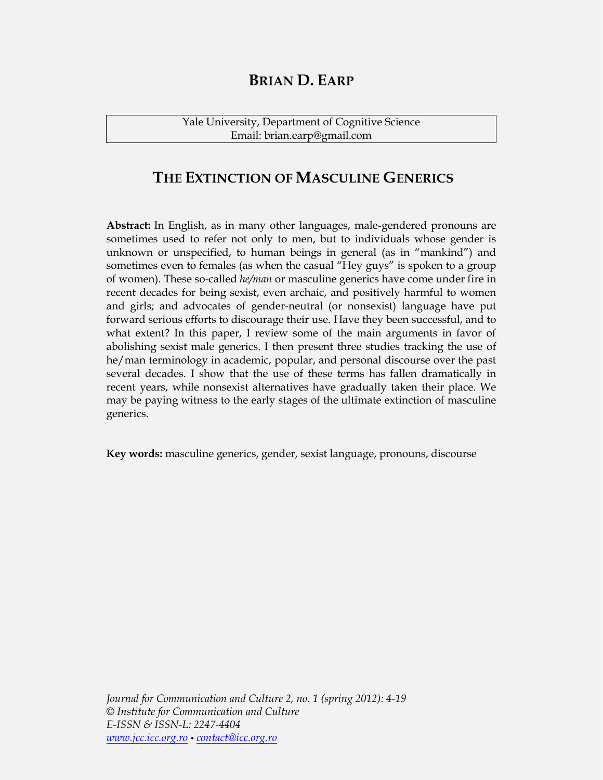# **BRIAN D. EARP**

Yale University, Department of Cognitive Science Email: brian.earp@gmail.com

# **THE EXTINCTION OF MASCULINE GENERICS**

Abstract: In English, as in many other languages, male-gendered pronouns are sometimes used to refer not only to men, but to individuals whose gender is unknown or unspecified, to human beings in general (as in "mankind") and sometimes even to females (as when the casual "Hey guys" is spoken to a group of women). These so-called *he/man* or masculine generics have come under fire in recent decades for being sexist, even archaic, and positively harmful to women and girls; and advocates of gender-neutral (or nonsexist) language have put forward serious efforts to discourage their use. Have they been successful, and to what extent? In this paper, I review some of the main arguments in favor of abolishing sexist male generics. I then present three studies tracking the use of he/man terminology in academic, popular, and personal discourse over the past several decades. I show that the use of these terms has fallen dramatically in recent years, while nonsexist alternatives have gradually taken their place. We may be paying witness to the early stages of the ultimate extinction of masculine generics.

**Key words:** masculine generics, gender, sexist language, pronouns, discourse

*Journal for Communication and Culture 2, no. 1 (spring 2012): 4=19 © Institute for Communication and Culture E=ISSN & ISSN=L: 2247=4404 www.jcc.icc.org.ro contact@icc.org.ro*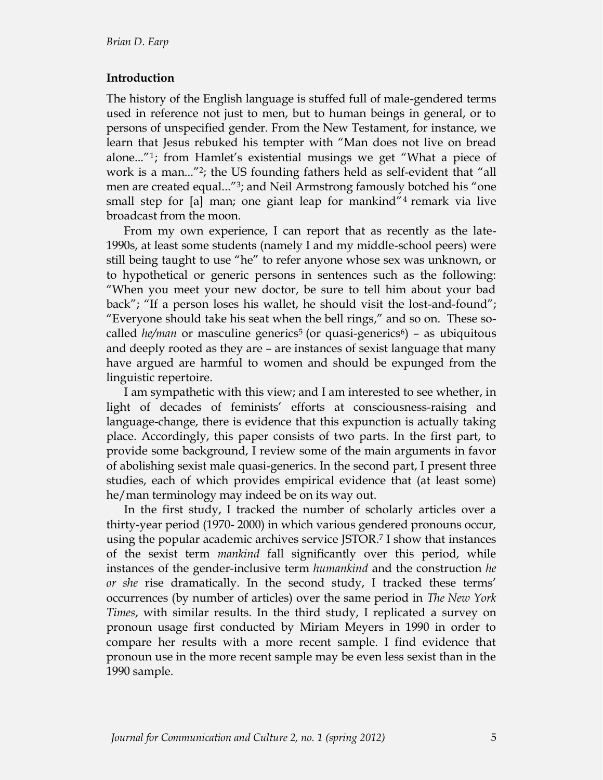### **Introduction**

The history of the English language is stuffed full of male-gendered terms used in reference not just to men, but to human beings in general, or to persons of unspecified gender. From the New Testament, for instance, we learn that Jesus rebuked his tempter with "Man does not live on bread alone..."<sup>1</sup>; from Hamlet's existential musings we get "What a piece of work is a man..."<sup>2</sup>; the US founding fathers held as self-evident that "all men are created equal...<sup>"3</sup>; and Neil Armstrong famously botched his "one small step for  $[a]$  man; one giant leap for mankind"<sup>4</sup> remark via live broadcast from the moon.

From my own experience, I can report that as recently as the late-1990s, at least some students (namely I and my middle-school peers) were still being taught to use "he" to refer anyone whose sex was unknown, or to hypothetical or generic persons in sentences such as the following: ´When you meet your new doctor, be sure to tell him about your bad back"; "If a person loses his wallet, he should visit the lost-and-found"; "Everyone should take his seat when the bell rings," and so on. These socalled *he/man* or masculine generics<sup>5</sup> (or quasi-generics<sup>6</sup>) – as ubiquitous and deeply rooted as they are - are instances of sexist language that many have argued are harmful to women and should be expunged from the linguistic repertoire.

I am sympathetic with this view; and I am interested to see whether, in light of decades of feminists' efforts at consciousness-raising and language-change, there is evidence that this expunction is actually taking place. Accordingly, this paper consists of two parts. In the first part, to provide some background, I review some of the main arguments in favor of abolishing sexist male quasi-generics. In the second part, I present three studies, each of which provides empirical evidence that (at least some) he/man terminology may indeed be on its way out.

In the first study, I tracked the number of scholarly articles over a thirty-year period (1970-2000) in which various gendered pronouns occur, using the popular academic archives service JSTOR.7 I show that instances of the sexist term *mankind* fall significantly over this period, while instances of the gender-inclusive term *humankind* and the construction *he or she* rise dramatically. In the second study, I tracked these terms' occurrences (by number of articles) over the same period in *The New York Times*, with similar results. In the third study, I replicated a survey on pronoun usage first conducted by Miriam Meyers in 1990 in order to compare her results with a more recent sample. I find evidence that pronoun use in the more recent sample may be even less sexist than in the 1990 sample.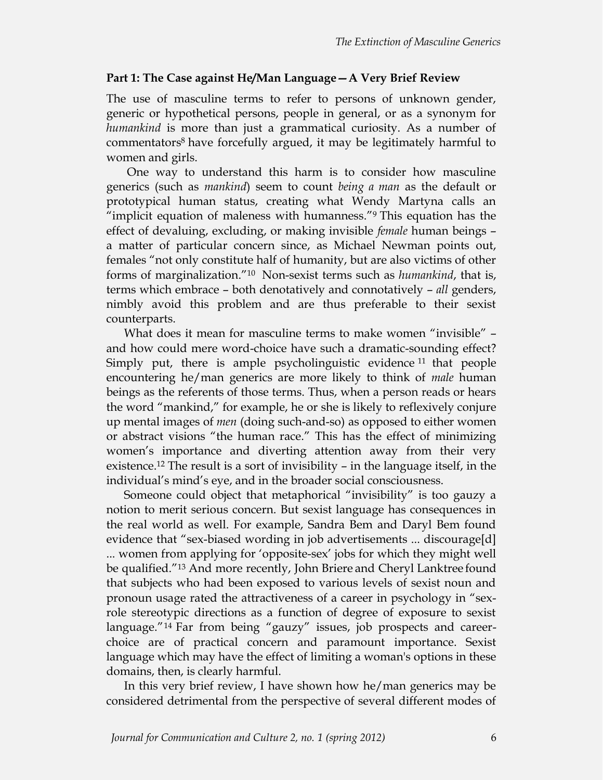#### **Part 1: The Case against He/Man Language – A Very Brief Review**

The use of masculine terms to refer to persons of unknown gender, generic or hypothetical persons, people in general, or as a synonym for *humankind* is more than just a grammatical curiosity. As a number of commentators8 have forcefully argued, it may be legitimately harmful to women and girls.

One way to understand this harm is to consider how masculine generics (such as *mankind*) seem to count *being a man* as the default or prototypical human status, creating what Wendy Martyna calls an "implicit equation of maleness with humanness." $9$  This equation has the effect of devaluing, excluding, or making invisible *female* human beings a matter of particular concern since, as Michael Newman points out, females "not only constitute half of humanity, but are also victims of other forms of marginalization.<sup>"10</sup> Non-sexist terms such as *humankind*, that is, terms which embrace – both denotatively and connotatively – *all* genders, nimbly avoid this problem and are thus preferable to their sexist counterparts.

What does it mean for masculine terms to make women "invisible" and how could mere word-choice have such a dramatic-sounding effect? Simply put, there is ample psycholinguistic evidence <sup>11</sup> that people encountering he/man generics are more likely to think of *male* human beings as the referents of those terms. Thus, when a person reads or hears the word "mankind," for example, he or she is likely to reflexively conjure up mental images of *men* (doing such-and-so) as opposed to either women or abstract visions "the human race." This has the effect of minimizing women's importance and diverting attention away from their very existence.<sup>12</sup> The result is a sort of invisibility  $-$  in the language itself, in the individual's mind's eye, and in the broader social consciousness.

Someone could object that metaphorical "invisibility" is too gauzy a notion to merit serious concern. But sexist language has consequences in the real world as well. For example, Sandra Bem and Daryl Bem found evidence that "sex-biased wording in job advertisements ... discourage[d] ... women from applying for 'opposite-sex' jobs for which they might well be qualified."<sup>13</sup> And more recently, John Briere and Cheryl Lanktree found that subjects who had been exposed to various levels of sexist noun and pronoun usage rated the attractiveness of a career in psychology in "sexrole stereotypic directions as a function of degree of exposure to sexist language."<sup>14</sup> Far from being "gauzy" issues, job prospects and careerchoice are of practical concern and paramount importance. Sexist language which may have the effect of limiting a woman's options in these domains, then, is clearly harmful.

In this very brief review, I have shown how he/man generics may be considered detrimental from the perspective of several different modes of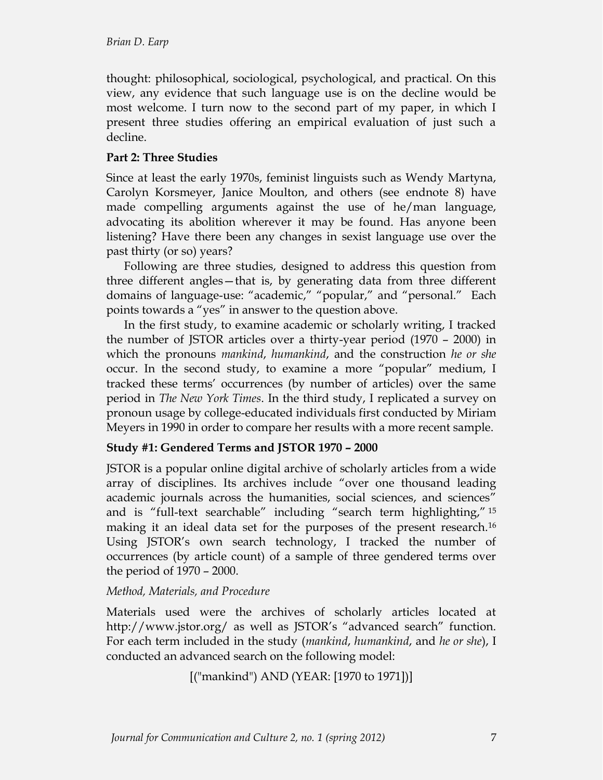thought: philosophical, sociological, psychological, and practical. On this view, any evidence that such language use is on the decline would be most welcome. I turn now to the second part of my paper, in which I present three studies offering an empirical evaluation of just such a decline.

# **Part 2: Three Studies**

Since at least the early 1970s, feminist linguists such as Wendy Martyna, Carolyn Korsmeyer, Janice Moulton, and others (see endnote 8) have made compelling arguments against the use of he/man language, advocating its abolition wherever it may be found. Has anyone been listening? Have there been any changes in sexist language use over the past thirty (or so) years?

Following are three studies, designed to address this question from three different angles-that is, by generating data from three different domains of language-use: "academic," "popular," and "personal." Each points towards a "yes" in answer to the question above.

In the first study, to examine academic or scholarly writing, I tracked the number of JSTOR articles over a thirty-year period  $(1970 - 2000)$  in which the pronouns *mankind*, *humankind*, and the construction *he or she*  occur. In the second study, to examine a more "popular" medium, I tracked these terms· occurrences (by number of articles) over the same period in *The New York Times*. In the third study, I replicated a survey on pronoun usage by college-educated individuals first conducted by Miriam Meyers in 1990 in order to compare her results with a more recent sample.

# **Study #1: Gendered Terms and JSTOR 1970 ² 2000**

JSTOR is a popular online digital archive of scholarly articles from a wide array of disciplines. Its archives include "over one thousand leading academic journals across the humanities, social sciences, and sciences" and is "full-text searchable" including "search term highlighting," 15 making it an ideal data set for the purposes of the present research.16 Using JSTOR's own search technology, I tracked the number of occurrences (by article count) of a sample of three gendered terms over the period of  $1970 - 2000$ .

# *Method, Materials, and Procedure*

Materials used were the archives of scholarly articles located at http://www.jstor.org/ as well as JSTOR's "advanced search" function. For each term included in the study (*mankind*, *humankind*, and *he or she*), I conducted an advanced search on the following model:

[("mankind") AND (YEAR: [1970 to 1971])]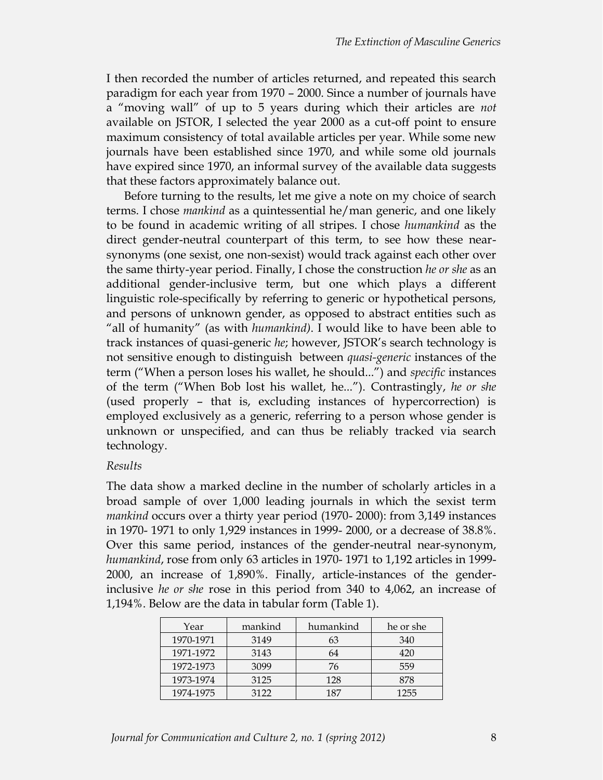I then recorded the number of articles returned, and repeated this search paradigm for each year from 1970 - 2000. Since a number of journals have a "moving wall" of up to 5 years during which their articles are *not* available on JSTOR, I selected the year 2000 as a cut-off point to ensure maximum consistency of total available articles per year. While some new journals have been established since 1970, and while some old journals have expired since 1970, an informal survey of the available data suggests that these factors approximately balance out.

Before turning to the results, let me give a note on my choice of search terms. I chose *mankind* as a quintessential he/man generic, and one likely to be found in academic writing of all stripes. I chose *humankind* as the direct gender-neutral counterpart of this term, to see how these nearsynonyms (one sexist, one non-sexist) would track against each other over the same thirty-year period. Finally, I chose the construction *he or she* as an additional gender-inclusive term, but one which plays a different linguistic role-specifically by referring to generic or hypothetical persons, and persons of unknown gender, as opposed to abstract entities such as ´all of humanityµ (as with *humankind)*. I would like to have been able to track instances of quasi-generic *he*; however, JSTOR's search technology is not sensitive enough to distinguish between *quasi=generic* instances of the term ("When a person loses his wallet, he should...") and *specific* instances of the term ("When Bob lost his wallet, he..."). Contrastingly, *he or she* (used properly  $-$  that is, excluding instances of hypercorrection) is employed exclusively as a generic, referring to a person whose gender is unknown or unspecified, and can thus be reliably tracked via search technology.

# *Results*

The data show a marked decline in the number of scholarly articles in a broad sample of over 1,000 leading journals in which the sexist term *mankind* occurs over a thirty year period (1970-2000): from 3,149 instances in 1970-1971 to only 1,929 instances in 1999-2000, or a decrease of 38.8%. Over this same period, instances of the gender-neutral near-synonym, *humankind*, rose from only 63 articles in 1970-1971 to 1,192 articles in 1999- $2000$ , an increase of  $1,890\%$ . Finally, article-instances of the genderinclusive *he or she* rose in this period from 340 to 4,062, an increase of 1,194%. Below are the data in tabular form (Table 1).

| Year      | mankind | humankind | he or she |
|-----------|---------|-----------|-----------|
| 1970-1971 | 3149    | 63        | 340       |
| 1971-1972 | 3143    | 64        | 420       |
| 1972-1973 | 3099    | 76        | 559       |
| 1973-1974 | 3125    | 128       | 878       |
| 1974-1975 | 3122    | 187       | 1255      |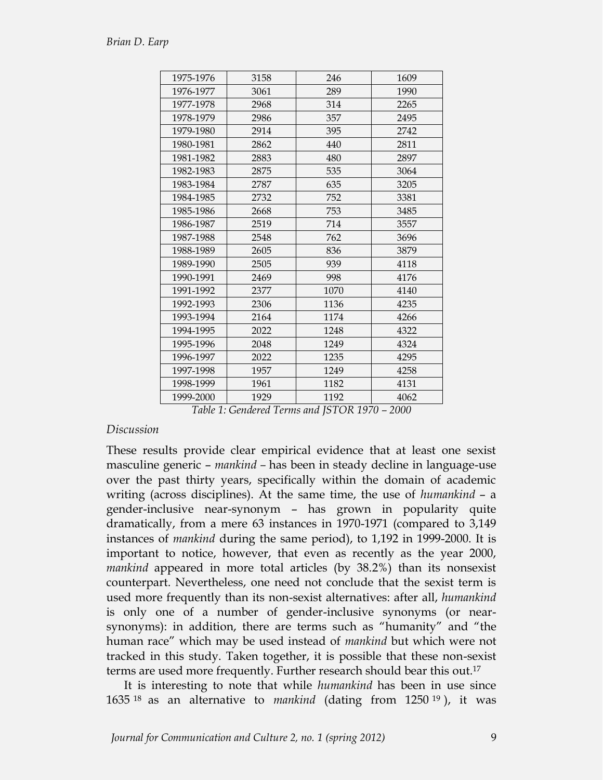| 1975-1976 | 3158 | 246  | 1609 |
|-----------|------|------|------|
| 1976-1977 | 3061 | 289  | 1990 |
| 1977-1978 | 2968 | 314  | 2265 |
| 1978-1979 | 2986 | 357  | 2495 |
| 1979-1980 | 2914 | 395  | 2742 |
| 1980-1981 | 2862 | 440  | 2811 |
| 1981-1982 | 2883 | 480  | 2897 |
| 1982-1983 | 2875 | 535  | 3064 |
| 1983-1984 | 2787 | 635  | 3205 |
| 1984-1985 | 2732 | 752  | 3381 |
| 1985-1986 | 2668 | 753  | 3485 |
| 1986-1987 | 2519 | 714  | 3557 |
| 1987-1988 | 2548 | 762  | 3696 |
| 1988-1989 | 2605 | 836  | 3879 |
| 1989-1990 | 2505 | 939  | 4118 |
| 1990-1991 | 2469 | 998  | 4176 |
| 1991-1992 | 2377 | 1070 | 4140 |
| 1992-1993 | 2306 | 1136 | 4235 |
| 1993-1994 | 2164 | 1174 | 4266 |
| 1994-1995 | 2022 | 1248 | 4322 |
| 1995-1996 | 2048 | 1249 | 4324 |
| 1996-1997 | 2022 | 1235 | 4295 |
| 1997-1998 | 1957 | 1249 | 4258 |
| 1998-1999 | 1961 | 1182 | 4131 |
| 1999-2000 | 1929 | 1192 | 4062 |

*Table 1: Gendered Terms and JSTOR 1970 - 2000* 

### *Discussion*

These results provide clear empirical evidence that at least one sexist masculine generic – *mankind* – has been in steady decline in language-use over the past thirty years, specifically within the domain of academic writing (across disciplines). At the same time, the use of *humankind* - a gender-inclusive near-synonym - has grown in popularity quite dramatically, from a mere 63 instances in 1970-1971 (compared to 3,149) instances of *mankind* during the same period), to 1,192 in 1999-2000. It is important to notice, however, that even as recently as the year 2000, *mankind* appeared in more total articles (by 38.2%) than its nonsexist counterpart. Nevertheless, one need not conclude that the sexist term is used more frequently than its non-sexist alternatives: after all, *humankind* is only one of a number of gender-inclusive synonyms (or nearsynonyms): in addition, there are terms such as "humanity" and "the human race" which may be used instead of *mankind* but which were not tracked in this study. Taken together, it is possible that these non-sexist terms are used more frequently. Further research should bear this out.17

It is interesting to note that while *humankind* has been in use since 1635 <sup>18</sup> as an alternative to *mankind* (dating from 1250 <sup>19</sup> ), it was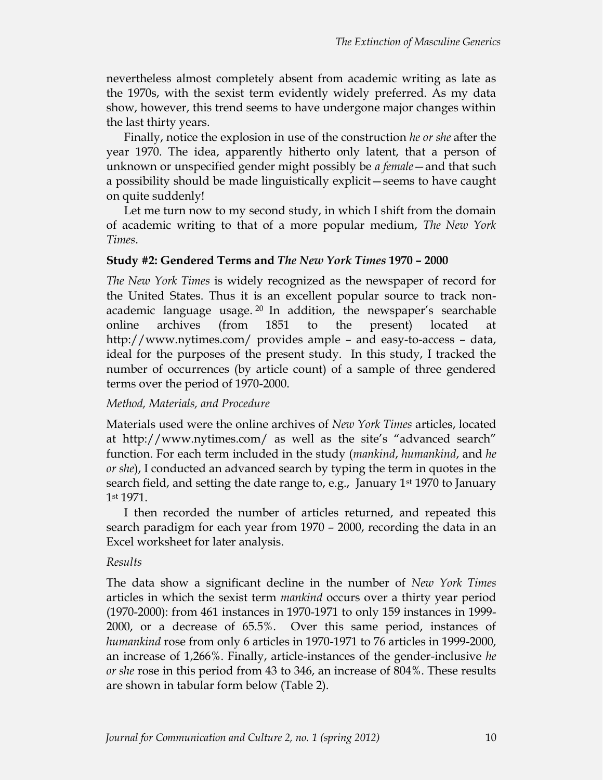nevertheless almost completely absent from academic writing as late as the 1970s, with the sexist term evidently widely preferred. As my data show, however, this trend seems to have undergone major changes within the last thirty years.

Finally, notice the explosion in use of the construction *he or she* after the year 1970. The idea, apparently hitherto only latent, that a person of unknown or unspecified gender might possibly be *a female* - and that such a possibility should be made linguistically explicit - seems to have caught on quite suddenly!

Let me turn now to my second study, in which I shift from the domain of academic writing to that of a more popular medium, *The New York Times*.

# **Study #2: Gendered Terms and** *The New York Times* **1970 - 2000**

*The New York Times* is widely recognized as the newspaper of record for the United States. Thus it is an excellent popular source to track nonacademic language usage.  $20$  In addition, the newspaper's searchable online archives (from 1851 to the present) located http://www.nytimes.com/ provides ample  $-$  and easy-to-access  $-$  data, ideal for the purposes of the present study. In this study, I tracked the number of occurrences (by article count) of a sample of three gendered terms over the period of 1970-2000.

# *Method, Materials, and Procedure*

Materials used were the online archives of *New York Times* articles, located at http://www.nytimes.com/ as well as the site's "advanced search" function. For each term included in the study (*mankind*, *humankind*, and *he or she*), I conducted an advanced search by typing the term in quotes in the search field, and setting the date range to, e.g., January 1st 1970 to January 1st 1971.

I then recorded the number of articles returned, and repeated this search paradigm for each year from 1970 – 2000, recording the data in an Excel worksheet for later analysis.

# *Results*

The data show a significant decline in the number of *New York Times* articles in which the sexist term *mankind* occurs over a thirty year period (1970-2000): from 461 instances in 1970-1971 to only 159 instances in 1999-2000, or a decrease of 65.5%. Over this same period, instances of *humankind* rose from only 6 articles in 1970-1971 to 76 articles in 1999-2000, an increase of 1,266%. Finally, article-instances of the gender-inclusive *he or she* rose in this period from 43 to 346, an increase of 804%. These results are shown in tabular form below (Table 2).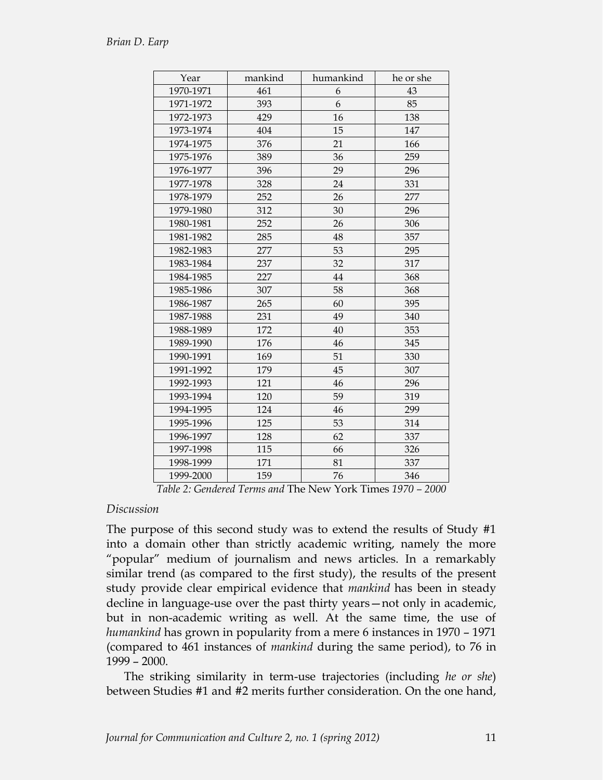| Year      | mankind | humankind | he or she |
|-----------|---------|-----------|-----------|
| 1970-1971 | 461     | 6         | 43        |
| 1971-1972 | 393     | 6         | 85        |
| 1972-1973 | 429     | 16        | 138       |
| 1973-1974 | 404     | 15        | 147       |
| 1974-1975 | 376     | 21        | 166       |
| 1975-1976 | 389     | 36        | 259       |
| 1976-1977 | 396     | 29        | 296       |
| 1977-1978 | 328     | 24        | 331       |
| 1978-1979 | 252     | 26        | 277       |
| 1979-1980 | 312     | 30        | 296       |
| 1980-1981 | 252     | 26        | 306       |
| 1981-1982 | 285     | 48        | 357       |
| 1982-1983 | 277     | 53        | 295       |
| 1983-1984 | 237     | 32        | 317       |
| 1984-1985 | 227     | 44        | 368       |
| 1985-1986 | 307     | 58        | 368       |
| 1986-1987 | 265     | 60        | 395       |
| 1987-1988 | 231     | 49        | 340       |
| 1988-1989 | 172     | 40        | 353       |
| 1989-1990 | 176     | 46        | 345       |
| 1990-1991 | 169     | 51        | 330       |
| 1991-1992 | 179     | 45        | 307       |
| 1992-1993 | 121     | 46        | 296       |
| 1993-1994 | 120     | 59        | 319       |
| 1994-1995 | 124     | 46        | 299       |
| 1995-1996 | 125     | 53        | 314       |
| 1996-1997 | 128     | 62        | 337       |
| 1997-1998 | 115     | 66        | 326       |
| 1998-1999 | 171     | 81        | 337       |
| 1999-2000 | 159     | 76        | 346       |

*Table 2: Gendered Terms and The New York Times 1970 - 2000* 

### *Discussion*

The purpose of this second study was to extend the results of Study #1 into a domain other than strictly academic writing, namely the more "popular" medium of journalism and news articles. In a remarkably similar trend (as compared to the first study), the results of the present study provide clear empirical evidence that *mankind* has been in steady decline in language-use over the past thirty years - not only in academic, but in non-academic writing as well. At the same time, the use of *humankind* has grown in popularity from a mere 6 instances in 1970 - 1971 (compared to 461 instances of *mankind* during the same period), to 76 in  $1999 - 2000$ .

The striking similarity in term-use trajectories (including *he or she*) between Studies #1 and #2 merits further consideration. On the one hand,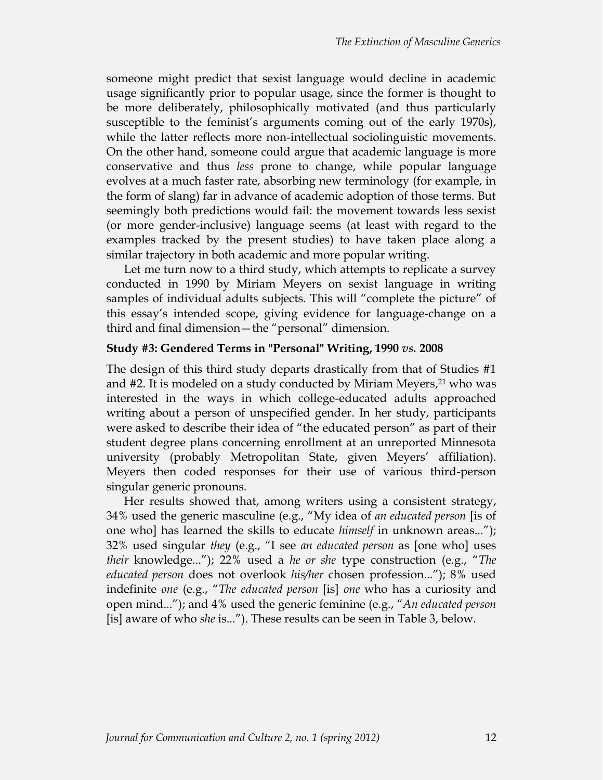someone might predict that sexist language would decline in academic usage significantly prior to popular usage, since the former is thought to be more deliberately, philosophically motivated (and thus particularly susceptible to the feminist's arguments coming out of the early 1970s), while the latter reflects more non-intellectual sociolinguistic movements. On the other hand, someone could argue that academic language is more conservative and thus *less* prone to change, while popular language evolves at a much faster rate, absorbing new terminology (for example, in the form of slang) far in advance of academic adoption of those terms. But seemingly both predictions would fail: the movement towards less sexist (or more gender-inclusive) language seems (at least with regard to the examples tracked by the present studies) to have taken place along a similar trajectory in both academic and more popular writing.

Let me turn now to a third study, which attempts to replicate a survey conducted in 1990 by Miriam Meyers on sexist language in writing samples of individual adults subjects. This will "complete the picture" of this essay's intended scope, giving evidence for language-change on a third and final dimension - the "personal" dimension.

### **Study #3: Gendered Terms in "Personal" Writing, 1990** *vs.* **2008**

The design of this third study departs drastically from that of Studies #1 and #2. It is modeled on a study conducted by Miriam Meyers, <sup>21</sup> who was interested in the ways in which college-educated adults approached writing about a person of unspecified gender. In her study, participants were asked to describe their idea of "the educated person" as part of their student degree plans concerning enrollment at an unreported Minnesota university (probably Metropolitan State, given Meyers' affiliation). Meyers then coded responses for their use of various third-person singular generic pronouns.

Her results showed that, among writers using a consistent strategy, 34% used the generic masculine (e.g., ´My idea of *an educated person* [is of one who] has learned the skills to educate *himself* in unknown areas..."); 32% used singular *they* (e.g., ´I see *an educated person* as [one who] uses *their* knowledge..."); 22% used a *he or she* type construction (e.g., "The *educated person* does not overlook *his/her* chosen profession..."); 8% used indefinite *one* (e.g., ´*The educated person* [is] *one* who has a curiosity and open mind..."); and 4% used the generic feminine (e.g., "An educated person [is] aware of who *she* is..."). These results can be seen in Table 3, below.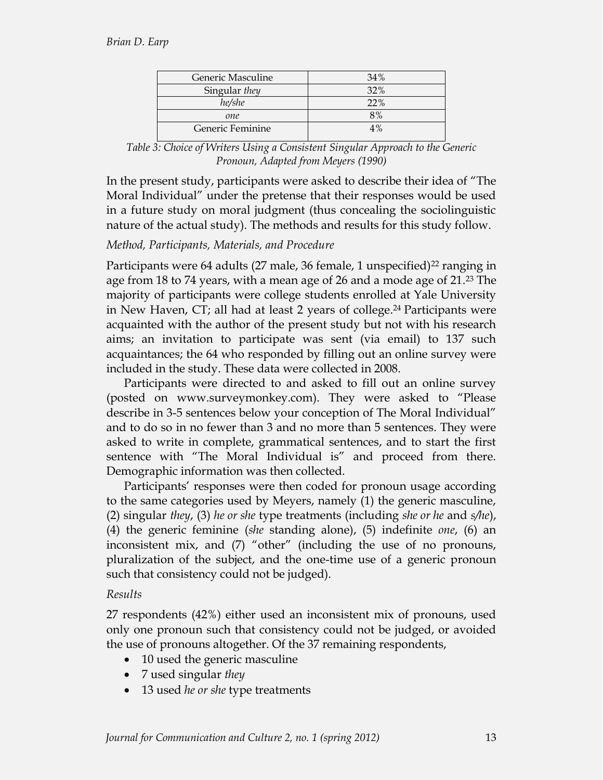| Generic Masculine | 34% |  |
|-------------------|-----|--|
| Singular they     | 32% |  |
| he/she            | 22% |  |
| one               | 8%  |  |
| Generic Feminine  | 4%  |  |

*Table 3: Choice of Writers Using a Consistent Singular Approach to the Generic Pronoun, Adapted from Meyers (1990)*

In the present study, participants were asked to describe their idea of "The Moral Individual" under the pretense that their responses would be used in a future study on moral judgment (thus concealing the sociolinguistic nature of the actual study). The methods and results for this study follow.

# *Method, Participants, Materials, and Procedure*

Participants were 64 adults (27 male, 36 female, 1 unspecified)<sup>22</sup> ranging in age from 18 to 74 years, with a mean age of 26 and a mode age of 21.23 The majority of participants were college students enrolled at Yale University in New Haven, CT; all had at least 2 years of college.<sup>24</sup> Participants were acquainted with the author of the present study but not with his research aims; an invitation to participate was sent (via email) to 137 such acquaintances; the 64 who responded by filling out an online survey were included in the study. These data were collected in 2008.

Participants were directed to and asked to fill out an online survey (posted on www.surveymonkey.com). They were asked to "Please describe in 3-5 sentences below your conception of The Moral Individual" and to do so in no fewer than 3 and no more than 5 sentences. They were asked to write in complete, grammatical sentences, and to start the first sentence with "The Moral Individual is" and proceed from there. Demographic information was then collected.

Participants' responses were then coded for pronoun usage according to the same categories used by Meyers, namely (1) the generic masculine, (2) singular *they*, (3) *he or she* type treatments (including *she or he* and *s/he*), (4) the generic feminine (*she* standing alone), (5) indefinite *one*, (6) an inconsistent mix, and  $(7)$  "other" (including the use of no pronouns, pluralization of the subject, and the one-time use of a generic pronoun such that consistency could not be judged).

# *Results*

27 respondents (42%) either used an inconsistent mix of pronouns, used only one pronoun such that consistency could not be judged, or avoided the use of pronouns altogether. Of the 37 remaining respondents,

- 10 used the generic masculine
- 7 used singular *they*
- 13 used *he or she* type treatments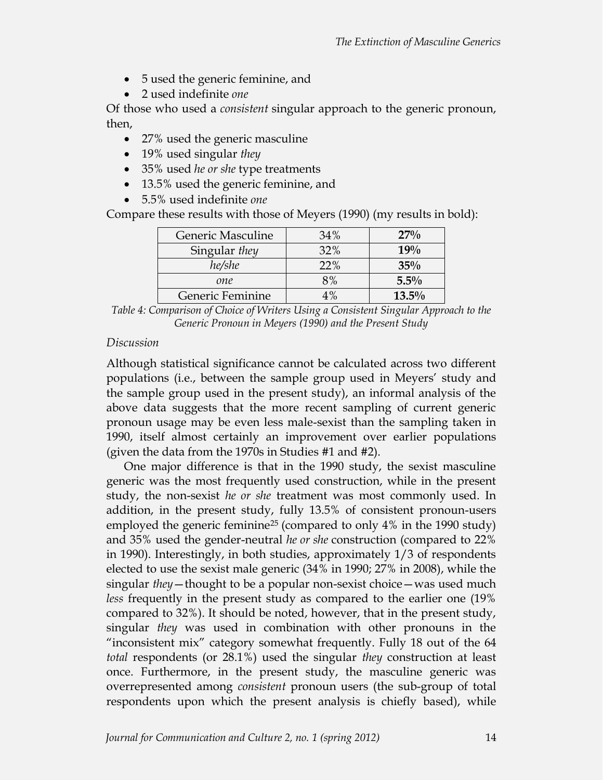- $\bullet$  5 used the generic feminine, and
- x 2 used indefinite *one*

Of those who used a *consistent* singular approach to the generic pronoun, then,

- 27% used the generic masculine
- 19% used singular *they*
- x 35% used *he or she* type treatments
- 13.5% used the generic feminine, and
- x 5.5% used indefinite *one*

Compare these results with those of Meyers (1990) (my results in bold):

| Generic Masculine | 34%   | 27%      |
|-------------------|-------|----------|
| Singular they     | 32%   | 19%      |
| he/she            | 22%   | $35\%$   |
| one               | 8%    | $5.5\%$  |
| Generic Feminine  | $4\%$ | $13.5\%$ |

*Table 4: Comparison of Choice of Writers Using a Consistent Singular Approach to the Generic Pronoun in Meyers (1990) and the Present Study*

# *Discussion*

Although statistical significance cannot be calculated across two different populations (i.e., between the sample group used in Meyers' study and the sample group used in the present study), an informal analysis of the above data suggests that the more recent sampling of current generic pronoun usage may be even less male-sexist than the sampling taken in 1990, itself almost certainly an improvement over earlier populations (given the data from the 1970s in Studies #1 and #2).

One major difference is that in the 1990 study, the sexist masculine generic was the most frequently used construction, while in the present study, the non-sexist *he or she* treatment was most commonly used. In addition, in the present study, fully  $13.5\%$  of consistent pronoun-users employed the generic feminine25 (compared to only 4% in the 1990 study) and 35% used the gender-neutral *he or she* construction (compared to 22% in 1990). Interestingly, in both studies, approximately 1/3 of respondents elected to use the sexist male generic  $(34\%$  in 1990;  $27\%$  in 2008), while the singular *they* - thought to be a popular non-sexist choice - was used much *less* frequently in the present study as compared to the earlier one (19% compared to 32%). It should be noted, however, that in the present study, singular *they* was used in combination with other pronouns in the "inconsistent mix" category somewhat frequently. Fully 18 out of the  $64$ *total* respondents (or 28.1%) used the singular *they* construction at least once. Furthermore, in the present study, the masculine generic was overrepresented among *consistent* pronoun users (the sub-group of total respondents upon which the present analysis is chiefly based), while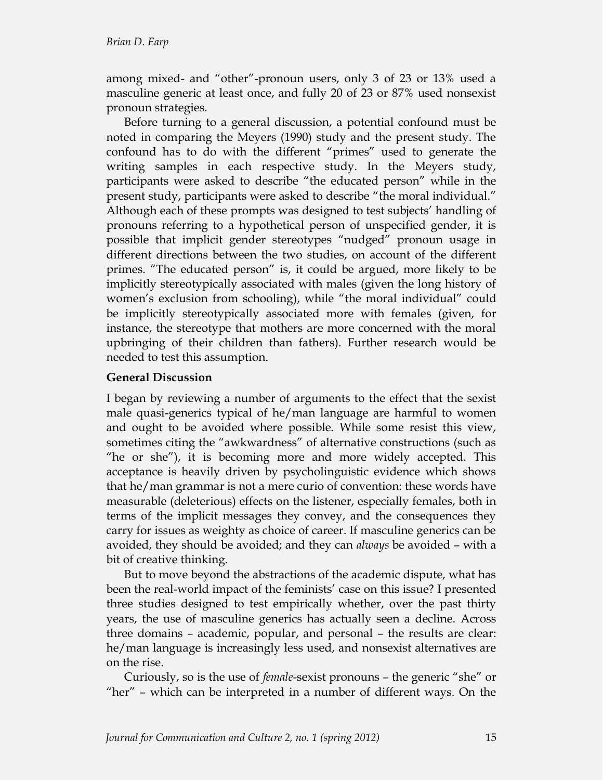among mixed- and "other"-pronoun users, only 3 of 23 or 13% used a masculine generic at least once, and fully 20 of 23 or 87% used nonsexist pronoun strategies.

Before turning to a general discussion, a potential confound must be noted in comparing the Meyers (1990) study and the present study. The confound has to do with the different "primes" used to generate the writing samples in each respective study. In the Meyers study, participants were asked to describe "the educated person" while in the present study, participants were asked to describe "the moral individual." Although each of these prompts was designed to test subjects' handling of pronouns referring to a hypothetical person of unspecified gender, it is possible that implicit gender stereotypes "nudged" pronoun usage in different directions between the two studies, on account of the different primes. "The educated person" is, it could be argued, more likely to be implicitly stereotypically associated with males (given the long history of women's exclusion from schooling), while "the moral individual" could be implicitly stereotypically associated more with females (given, for instance, the stereotype that mothers are more concerned with the moral upbringing of their children than fathers). Further research would be needed to test this assumption.

# **General Discussion**

I began by reviewing a number of arguments to the effect that the sexist male quasi-generics typical of he/man language are harmful to women and ought to be avoided where possible. While some resist this view, sometimes citing the "awkwardness" of alternative constructions (such as "he or she"), it is becoming more and more widely accepted. This acceptance is heavily driven by psycholinguistic evidence which shows that he/man grammar is not a mere curio of convention: these words have measurable (deleterious) effects on the listener, especially females, both in terms of the implicit messages they convey, and the consequences they carry for issues as weighty as choice of career. If masculine generics can be avoided, they should be avoided; and they can *always* be avoided - with a bit of creative thinking.

But to move beyond the abstractions of the academic dispute, what has been the real-world impact of the feminists' case on this issue? I presented three studies designed to test empirically whether, over the past thirty years, the use of masculine generics has actually seen a decline. Across three domains - academic, popular, and personal - the results are clear: he/man language is increasingly less used, and nonsexist alternatives are on the rise.

Curiously, so is the use of *female*-sexist pronouns - the generic "she" or "her"  $-$  which can be interpreted in a number of different ways. On the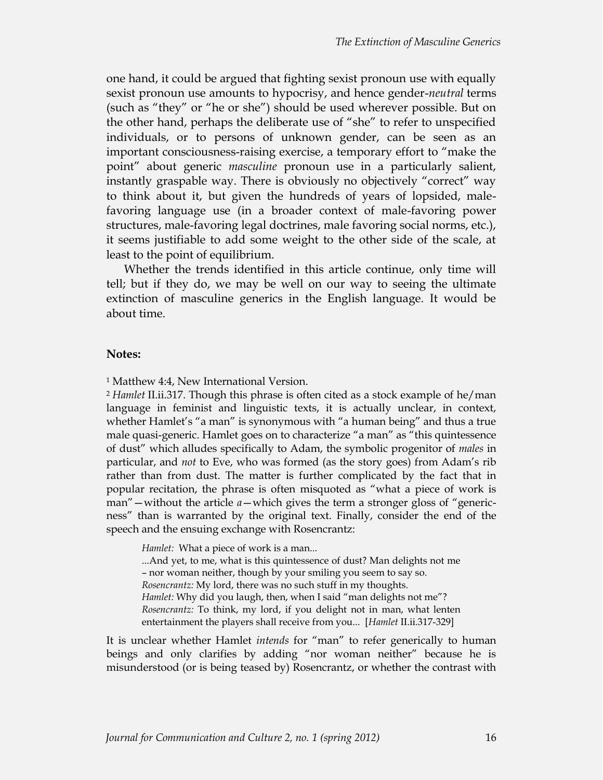one hand, it could be argued that fighting sexist pronoun use with equally sexist pronoun use amounts to hypocrisy, and hence gender-*neutral* terms (such as "they" or "he or she") should be used wherever possible. But on the other hand, perhaps the deliberate use of "she" to refer to unspecified individuals, or to persons of unknown gender, can be seen as an important consciousness-raising exercise, a temporary effort to "make the point" about generic *masculine* pronoun use in a particularly salient, instantly graspable way. There is obviously no objectively "correct" way to think about it, but given the hundreds of years of lopsided, malefavoring language use (in a broader context of male-favoring power structures, male-favoring legal doctrines, male favoring social norms, etc.), it seems justifiable to add some weight to the other side of the scale, at least to the point of equilibrium.

Whether the trends identified in this article continue, only time will tell; but if they do, we may be well on our way to seeing the ultimate extinction of masculine generics in the English language. It would be about time.

#### **Notes:**

<sup>1</sup> Matthew 4:4, New International Version.

<sup>2</sup> *Hamlet* II.ii.317. Though this phrase is often cited as a stock example of he/man language in feminist and linguistic texts, it is actually unclear, in context, whether Hamlet's "a man" is synonymous with "a human being" and thus a true male quasi-generic. Hamlet goes on to characterize "a man" as "this quintessence of dust" which alludes specifically to Adam, the symbolic progenitor of *males* in particular, and *not* to Eve, who was formed (as the story goes) from Adam's rib rather than from dust. The matter is further complicated by the fact that in popular recitation, the phrase is often misquoted as "what a piece of work is man" — without the article  $a$ — which gives the term a stronger gloss of "genericness" than is warranted by the original text. Finally, consider the end of the speech and the ensuing exchange with Rosencrantz:

*Hamlet:* What a piece of work is a man... ...And yet, to me, what is this quintessence of dust? Man delights not me - nor woman neither, though by your smiling you seem to say so. *Rosencrantz:* My lord, there was no such stuff in my thoughts. Hamlet: Why did you laugh, then, when I said "man delights not me"? *Rosencrantz:* To think, my lord, if you delight not in man, what lenten entertainment the players shall receive from you... [Hamlet II.ii.317-329]

It is unclear whether Hamlet *intends* for "man" to refer generically to human beings and only clarifies by adding "nor woman neither" because he is misunderstood (or is being teased by) Rosencrantz, or whether the contrast with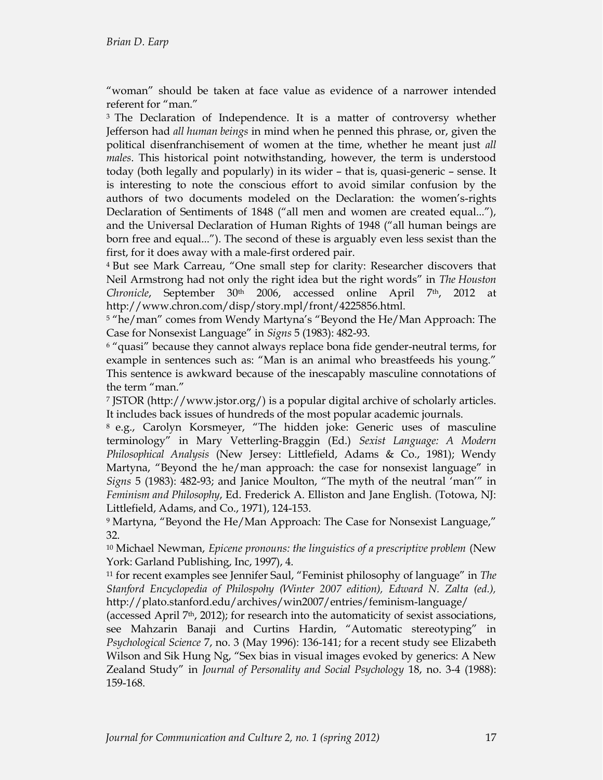"woman" should be taken at face value as evidence of a narrower intended referent for "man."

<sup>3</sup> The Declaration of Independence. It is a matter of controversy whether Jefferson had *all human beings* in mind when he penned this phrase, or, given the political disenfranchisement of women at the time, whether he meant just *all males*. This historical point notwithstanding, however, the term is understood today (both legally and popularly) in its wider - that is, quasi-generic - sense. It is interesting to note the conscious effort to avoid similar confusion by the authors of two documents modeled on the Declaration: the women's-rights Declaration of Sentiments of 1848 ("all men and women are created equal..."), and the Universal Declaration of Human Rights of 1948 ("all human beings are born free and equal..."). The second of these is arguably even less sexist than the first, for it does away with a male-first ordered pair.

<sup>4</sup> But see Mark Carreau, "One small step for clarity: Researcher discovers that Neil Armstrong had not only the right idea but the right words" in The Houston Chronicle, September 30<sup>th</sup> 2006, accessed online April 7<sup>th</sup>, 2012 at http://www.chron.com/disp/story.mpl/front/4225856.html.

<sup>5</sup> "he/man" comes from Wendy Martyna's "Beyond the He/Man Approach: The Case for Nonsexist Language" in Signs 5 (1983): 482-93.

 $6$  "quasi" because they cannot always replace bona fide gender-neutral terms, for example in sentences such as: "Man is an animal who breastfeeds his young." This sentence is awkward because of the inescapably masculine connotations of the term "man."

<sup>7</sup> JSTOR (http://www.jstor.org/) is a popular digital archive of scholarly articles. It includes back issues of hundreds of the most popular academic journals.

8 e.g., Carolyn Korsmeyer, "The hidden joke: Generic uses of masculine terminology" in Mary Vetterling-Braggin (Ed.) Sexist Language: A Modern *Philosophical Analysis* (New Jersey: Littlefield, Adams & Co., 1981); Wendy Martyna, "Beyond the he/man approach: the case for nonsexist language" in *Signs* 5 (1983): 482-93; and Janice Moulton, "The myth of the neutral 'man'" in *Feminism and Philosophy*, Ed. Frederick A. Elliston and Jane English. (Totowa, NJ: Littlefield, Adams, and Co., 1971), 124-153.

9 Martyna, "Beyond the He/Man Approach: The Case for Nonsexist Language," 32.

<sup>10</sup> Michael Newman, *Epicene pronouns: the linguistics of a prescriptive problem* (New York: Garland Publishing, Inc, 1997), 4.

<sup>11</sup> for recent examples see Jennifer Saul, "Feminist philosophy of language" in The *Stanford Encyclopedia of Philospohy (Winter 2007 edition), Edward N. Zalta (ed.),*  http://plato.stanford.edu/archives/win2007/entries/feminism-language/

(accessed April 7<sup>th</sup>, 2012); for research into the automaticity of sexist associations, see Mahzarin Banaji and Curtins Hardin, "Automatic stereotyping" in *Psychological Science* 7, no. 3 (May 1996): 136-141; for a recent study see Elizabeth Wilson and Sik Hung Ng, "Sex bias in visual images evoked by generics: A New Zealand Study" in Journal of Personality and Social Psychology 18, no. 3-4 (1988): 159-168.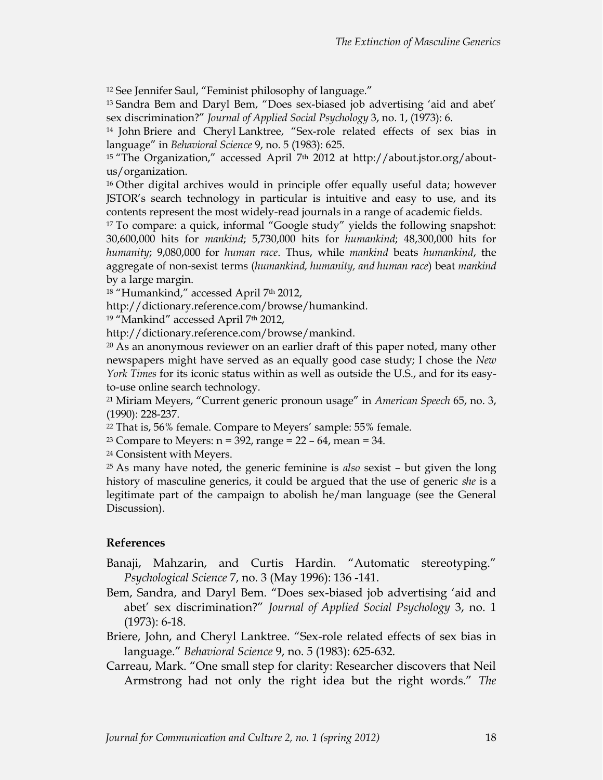<sup>12</sup> See Jennifer Saul, "Feminist philosophy of language."

<sup>13</sup> Sandra Bem and Daryl Bem, "Does sex-biased job advertising 'aid and abet' sex discrimination?" *Journal of Applied Social Psychology* 3, no. 1, (1973): 6.

<sup>14</sup> John Briere and Cheryl Lanktree, "Sex-role related effects of sex bias in language" in *Behavioral Science* 9, no. 5 (1983): 625.

<sup>15</sup> "The Organization," accessed April 7<sup>th</sup> 2012 at http://about.jstor.org/aboutus/organization.

 $16$  Other digital archives would in principle offer equally useful data; however JSTOR's search technology in particular is intuitive and easy to use, and its contents represent the most widely-read journals in a range of academic fields.

 $17$  To compare: a quick, informal "Google study" yields the following snapshot: 30,600,000 hits for *mankind*; 5,730,000 hits for *humankind*; 48,300,000 hits for *humanity*; 9,080,000 for *human race*. Thus, while *mankind* beats *humankind*, the aggregate of non-sexist terms (humankind, humanity, and human race) beat *mankind* by a large margin.

<sup>18</sup> "Humankind," accessed April 7<sup>th</sup> 2012,

http://dictionary.reference.com/browse/humankind.

<sup>19</sup> "Mankind" accessed April 7<sup>th</sup> 2012,

http://dictionary.reference.com/browse/mankind.

<sup>20</sup> As an anonymous reviewer on an earlier draft of this paper noted, many other newspapers might have served as an equally good case study; I chose the *New York Times* for its iconic status within as well as outside the U.S., and for its easyto-use online search technology.

<sup>21</sup> Miriam Meyers, "Current generic pronoun usage" in American Speech 65, no. 3,  $(1990): 228-237.$ 

<sup>22</sup> That is, 56% female. Compare to Meyers' sample: 55% female.

<sup>23</sup> Compare to Meyers:  $n = 392$ , range =  $22 - 64$ , mean = 34.

<sup>24</sup> Consistent with Meyers.

<sup>25</sup> As many have noted, the generic feminine is *also* sexist - but given the long history of masculine generics, it could be argued that the use of generic *she* is a legitimate part of the campaign to abolish he/man language (see the General Discussion).

### **References**

- Banaji, Mahzarin, and Curtis Hardin. "Automatic stereotyping." *Psychological Science* 7, no. 3 (May 1996): 136 -141.
- Bem, Sandra, and Daryl Bem. "Does sex-biased job advertising 'aid and abet' sex discrimination?" *Journal of Applied Social Psychology* 3, no. 1  $(1973): 6-18.$
- Briere, John, and Cheryl Lanktree. "Sex-role related effects of sex bias in language." Behavioral Science 9, no. 5 (1983): 625-632.
- Carreau, Mark. "One small step for clarity: Researcher discovers that Neil Armstrong had not only the right idea but the right words." The